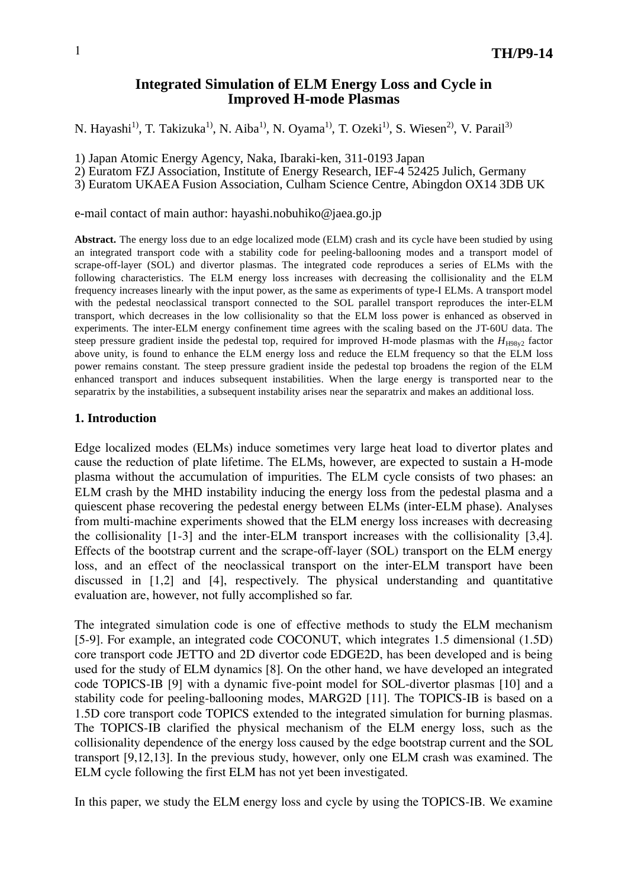# **Integrated Simulation of ELM Energy Loss and Cycle in Improved H-mode Plasmas**

N. Hayashi<sup>1)</sup>, T. Takizuka<sup>1)</sup>, N. Aiba<sup>1)</sup>, N. Oyama<sup>1)</sup>, T. Ozeki<sup>1)</sup>, S. Wiesen<sup>2)</sup>, V. Parail<sup>3)</sup>

1) Japan Atomic Energy Agency, Naka, Ibaraki-ken, 311-0193 Japan

2) Euratom FZJ Association, Institute of Energy Research, IEF-4 52425 Julich, Germany

3) Euratom UKAEA Fusion Association, Culham Science Centre, Abingdon OX14 3DB UK

e-mail contact of main author: hayashi.nobuhiko@jaea.go.jp

**Abstract.** The energy loss due to an edge localized mode (ELM) crash and its cycle have been studied by using an integrated transport code with a stability code for peeling-ballooning modes and a transport model of scrape-off-layer (SOL) and divertor plasmas. The integrated code reproduces a series of ELMs with the following characteristics. The ELM energy loss increases with decreasing the collisionality and the ELM frequency increases linearly with the input power, as the same as experiments of type-I ELMs. A transport model with the pedestal neoclassical transport connected to the SOL parallel transport reproduces the inter-ELM transport, which decreases in the low collisionality so that the ELM loss power is enhanced as observed in experiments. The inter-ELM energy confinement time agrees with the scaling based on the JT-60U data. The steep pressure gradient inside the pedestal top, required for improved H-mode plasmas with the  $H_{H98y2}$  factor above unity, is found to enhance the ELM energy loss and reduce the ELM frequency so that the ELM loss power remains constant. The steep pressure gradient inside the pedestal top broadens the region of the ELM enhanced transport and induces subsequent instabilities. When the large energy is transported near to the separatrix by the instabilities, a subsequent instability arises near the separatrix and makes an additional loss.

# **1. Introduction**

Edge localized modes (ELMs) induce sometimes very large heat load to divertor plates and cause the reduction of plate lifetime. The ELMs, however, are expected to sustain a H-mode plasma without the accumulation of impurities. The ELM cycle consists of two phases: an ELM crash by the MHD instability inducing the energy loss from the pedestal plasma and a quiescent phase recovering the pedestal energy between ELMs (inter-ELM phase). Analyses from multi-machine experiments showed that the ELM energy loss increases with decreasing the collisionality [1-3] and the inter-ELM transport increases with the collisionality [3,4]. Effects of the bootstrap current and the scrape-off-layer (SOL) transport on the ELM energy loss, and an effect of the neoclassical transport on the inter-ELM transport have been discussed in [1,2] and [4], respectively. The physical understanding and quantitative evaluation are, however, not fully accomplished so far.

The integrated simulation code is one of effective methods to study the ELM mechanism [5-9]. For example, an integrated code COCONUT, which integrates 1.5 dimensional (1.5D) core transport code JETTO and 2D divertor code EDGE2D, has been developed and is being used for the study of ELM dynamics [8]. On the other hand, we have developed an integrated code TOPICS-IB [9] with a dynamic five-point model for SOL-divertor plasmas [10] and a stability code for peeling-ballooning modes, MARG2D [11]. The TOPICS-IB is based on a 1.5D core transport code TOPICS extended to the integrated simulation for burning plasmas. The TOPICS-IB clarified the physical mechanism of the ELM energy loss, such as the collisionality dependence of the energy loss caused by the edge bootstrap current and the SOL transport [9,12,13]. In the previous study, however, only one ELM crash was examined. The ELM cycle following the first ELM has not yet been investigated.

In this paper, we study the ELM energy loss and cycle by using the TOPICS-IB. We examine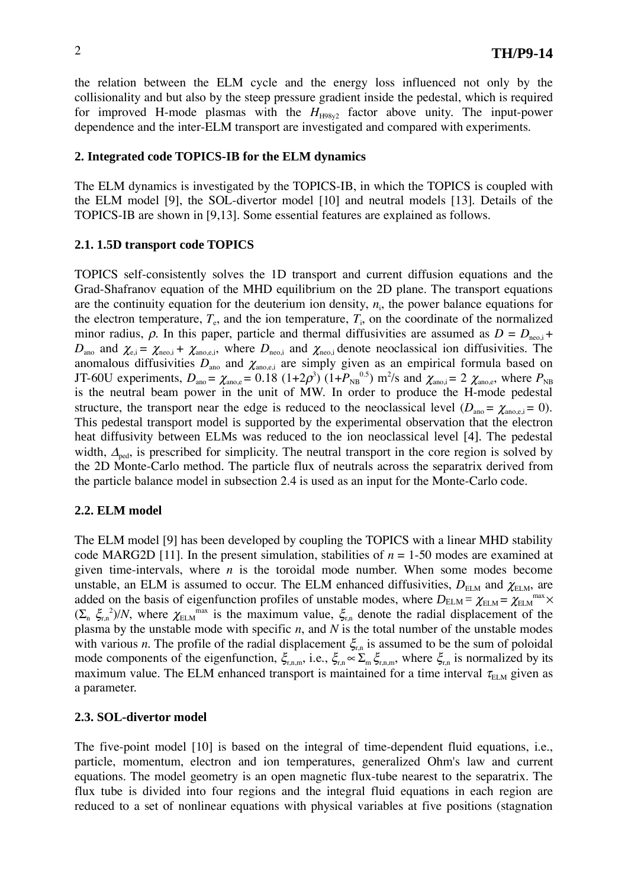the relation between the ELM cycle and the energy loss influenced not only by the collisionality and but also by the steep pressure gradient inside the pedestal, which is required for improved H-mode plasmas with the  $H_{H98y2}$  factor above unity. The input-power dependence and the inter-ELM transport are investigated and compared with experiments.

## **2. Integrated code TOPICS-IB for the ELM dynamics**

The ELM dynamics is investigated by the TOPICS-IB, in which the TOPICS is coupled with the ELM model [9], the SOL-divertor model [10] and neutral models [13]. Details of the TOPICS-IB are shown in [9,13]. Some essential features are explained as follows.

### **2.1. 1.5D transport code TOPICS**

TOPICS self-consistently solves the 1D transport and current diffusion equations and the Grad-Shafranov equation of the MHD equilibrium on the 2D plane. The transport equations are the continuity equation for the deuterium ion density,  $n_i$ , the power balance equations for the electron temperature,  $T_e$ , and the ion temperature,  $T_i$ , on the coordinate of the normalized minor radius,  $\rho$ . In this paper, particle and thermal diffusivities are assumed as  $D = D_{\text{neo},i} + D_{\text{Q}}$  $D_{\text{ano}}$  and  $\chi_{e,i} = \chi_{\text{neo},i} + \chi_{\text{ano},e,i}$ , where  $D_{\text{neo},i}$  and  $\chi_{\text{neo},i}$  denote neoclassical ion diffusivities. The anomalous diffusivities  $D_{\text{ano}}$  and  $\chi_{\text{ano},e,i}$  are simply given as an empirical formula based on JT-60U experiments,  $D_{\text{ano}} = \chi_{\text{ano,e}} = 0.18 \ (1+2\rho^3) \ (1+P_{NB}^{0.5}) \ m^2/\text{s}$  and  $\chi_{\text{ano,i}} = 2 \ \chi_{\text{ano,e}}$ , where  $P_{NB}$ is the neutral beam power in the unit of MW. In order to produce the H-mode pedestal structure, the transport near the edge is reduced to the neoclassical level  $(D_{\text{ano}} = \chi_{\text{ano,e,i}} = 0)$ . This pedestal transport model is supported by the experimental observation that the electron heat diffusivity between ELMs was reduced to the ion neoclassical level [4]. The pedestal width,  $\Delta_{\text{ped}}$ , is prescribed for simplicity. The neutral transport in the core region is solved by the 2D Monte-Carlo method. The particle flux of neutrals across the separatrix derived from the particle balance model in subsection 2.4 is used as an input for the Monte-Carlo code.

# **2.2. ELM model**

The ELM model [9] has been developed by coupling the TOPICS with a linear MHD stability code MARG2D [11]. In the present simulation, stabilities of  $n = 1-50$  modes are examined at given time-intervals, where *n* is the toroidal mode number. When some modes become unstable, an ELM is assumed to occur. The ELM enhanced diffusivities,  $D_{\text{ELM}}$  and  $\chi_{\text{ELM}}$ , are added on the basis of eigenfunction profiles of unstable modes, where  $D_{\text{ELM}} = \chi_{\text{ELM}} = \chi_{\text{ELM}}^{max} \times$  $(\sum_{n} \xi_{r,n}^2)/N$ , where  $\chi_{\text{ELM}}^{\text{max}}$  is the maximum value,  $\xi_{r,n}$  denote the radial displacement of the plasma by the unstable mode with specific *n*, and *N* is the total number of the unstable modes with various *n*. The profile of the radial displacement  $\xi_{n}$  is assumed to be the sum of poloidal mode components of the eigenfunction,  $\xi_{r,n,m}$ , i.e.,  $\xi_{r,n} \propto \sum_{n} \xi_{r,n,m}$ , where  $\xi_{r,n}$  is normalized by its maximum value. The ELM enhanced transport is maintained for a time interval  $\tau_{\text{ELM}}$  given as a parameter.

### **2.3. SOL-divertor model**

The five-point model [10] is based on the integral of time-dependent fluid equations, i.e., particle, momentum, electron and ion temperatures, generalized Ohm's law and current equations. The model geometry is an open magnetic flux-tube nearest to the separatrix. The flux tube is divided into four regions and the integral fluid equations in each region are reduced to a set of nonlinear equations with physical variables at five positions (stagnation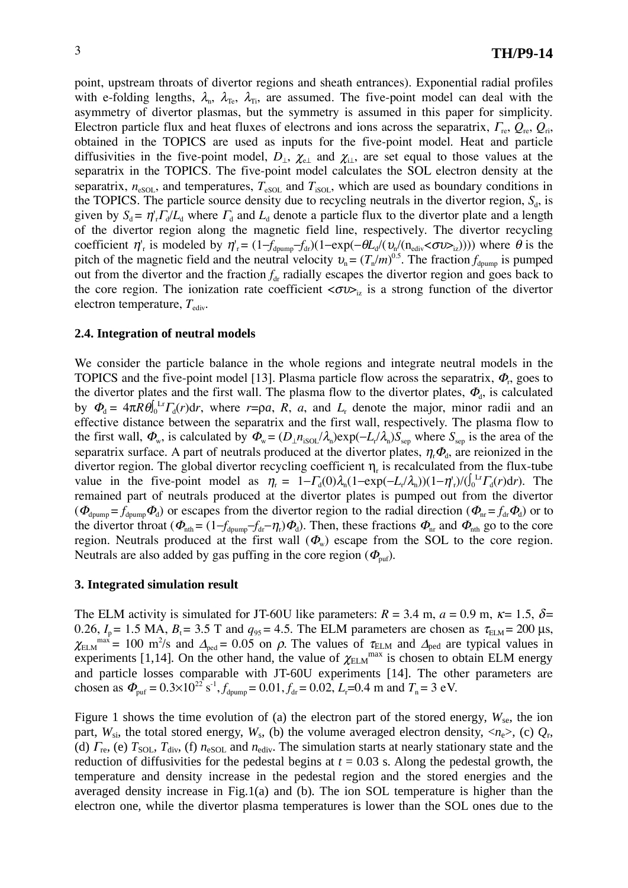point, upstream throats of divertor regions and sheath entrances). Exponential radial profiles with e-folding lengths,  $\lambda_n$ ,  $\lambda_{Te}$ ,  $\lambda_{Ti}$ , are assumed. The five-point model can deal with the asymmetry of divertor plasmas, but the symmetry is assumed in this paper for simplicity. Electron particle flux and heat fluxes of electrons and ions across the separatrix,  $\Gamma_{\text{re}}, Q_{\text{re}}, Q_{\text{ri}},$ obtained in the TOPICS are used as inputs for the five-point model. Heat and particle diffusivities in the five-point model,  $D_{\perp}$ ,  $\chi_{e\perp}$  and  $\chi_{\perp}$ , are set equal to those values at the separatrix in the TOPICS. The five-point model calculates the SOL electron density at the separatrix,  $n_{\text{eSOL}}$ , and temperatures,  $T_{\text{eSOL}}$  and  $T_{\text{isOL}}$ , which are used as boundary conditions in the TOPICS. The particle source density due to recycling neutrals in the divertor region,  $S_d$ , is given by  $S_d = \eta'_r \Gamma_d/L_d$  where  $\Gamma_d$  and  $L_d$  denote a particle flux to the divertor plate and a length of the divertor region along the magnetic field line, respectively. The divertor recycling coefficient  $\eta'_{r}$  is modeled by  $\eta'_{r} = (1 - f_{\text{d pump}} - f_{\text{dr}})(1 - \exp(-\theta L_{d}/(\upsilon_{r}/(n_{\text{ediv}} < \sigma \upsilon_{\geq}))))$  where  $\theta$  is the pitch of the magnetic field and the neutral velocity  $v_n = (T_n/m)^{0.5}$ . The fraction  $f_{\text{dpump}}$  is pumped out from the divertor and the fraction  $f_{dr}$  radially escapes the divertor region and goes back to the core region. The ionization rate coefficient  $\langle \sigma v \rangle$  is a strong function of the divertor electron temperature,  $T_{\text{ediv}}$ .

#### **2.4. Integration of neutral models**

We consider the particle balance in the whole regions and integrate neutral models in the TOPICS and the five-point model [13]. Plasma particle flow across the separatrix,  $\Phi_r$ , goes to the divertor plates and the first wall. The plasma flow to the divertor plates,  $\Phi_d$ , is calculated by  $\Phi_d = 4\pi R \theta \int_0^L \Gamma \Gamma_d(r) dr$ , where  $r = \rho a$ , *R*, *a*, and *L*<sub>r</sub> denote the major, minor radii and an effective distance between the separatrix and the first wall, respectively. The plasma flow to the first wall,  $\Phi_w$ , is calculated by  $\Phi_w = (D_\perp n_{\rm isol}/\lambda_p) \exp(-L/2 \lambda_p) S_{\rm sep}$  where  $S_{\rm sep}$  is the area of the separatrix surface. A part of neutrals produced at the divertor plates,  $\eta_r \Phi_d$ , are reionized in the divertor region. The global divertor recycling coefficient  $\eta$ , is recalculated from the flux-tube value in the five-point model as  $\eta_r = 1 - \Gamma_d(0)\lambda_n(1 - \exp(-L_l/\lambda_n))(1 - \eta_r)/( \int_0^{L_r} \Gamma_d(r) dr)$ . The remained part of neutrals produced at the divertor plates is pumped out from the divertor  $(\Phi_{\text{djump}} = f_{\text{dpump}} \Phi_d)$  or escapes from the divertor region to the radial direction  $(\Phi_{\text{nr}} = f_{\text{dr}} \Phi_d)$  or to the divertor throat ( $\Phi_{\text{nth}} = (1 - f_{\text{dpump}} - f_{\text{dr}} - \eta_{\text{r}})\Phi_{\text{d}}$ ). Then, these fractions  $\Phi_{\text{nr}}$  and  $\Phi_{\text{nth}}$  go to the core region. Neutrals produced at the first wall  $(\Phi_w)$  escape from the SOL to the core region. Neutrals are also added by gas puffing in the core region  $(\Phi_{\text{put}})$ .

#### **3. Integrated simulation result**

The ELM activity is simulated for JT-60U like parameters:  $R = 3.4$  m,  $a = 0.9$  m,  $\kappa = 1.5$ ,  $\delta =$ 0.26,  $I_p = 1.5$  MA,  $B_t = 3.5$  T and  $q_{95} = 4.5$ . The ELM parameters are chosen as  $\tau_{ELM} = 200$  µs,  $\chi_{\text{ELM}}^{\text{max}} = 100 \text{ m}^2/\text{s}$  and  $\Delta_{\text{ped}} = 0.05$  on  $\rho$ . The values of  $\tau_{\text{ELM}}$  and  $\Delta_{\text{ped}}$  are typical values in experiments [1,14]. On the other hand, the value of  $\chi_{\text{ELM}}^{\text{max}}$  is chosen to obtain ELM energy and particle losses comparable with JT-60U experiments [14]. The other parameters are chosen as  $\Phi_{\text{puf}} = 0.3 \times 10^{22} \text{ s}^{-1}$ ,  $f_{\text{dpump}} = 0.01$ ,  $f_{\text{dr}} = 0.02$ ,  $L_{\text{r}} = 0.4 \text{ m}$  and  $T_{\text{n}} = 3 \text{ eV}$ .

Figure 1 shows the time evolution of (a) the electron part of the stored energy,  $W_{\text{se}}$ , the ion part,  $W_{\rm si}$ , the total stored energy,  $W_{\rm s}$ , (b) the volume averaged electron density,  $\langle n_{\rm e} \rangle$ , (c)  $Q_{\rm r}$ , (d)  $\Gamma_{\rm{re}}$ , (e)  $T_{\rm{SOL}}$ ,  $T_{\rm{div}}$ , (f)  $n_{\rm{eSOL}}$  and  $n_{\rm{ediv}}$ . The simulation starts at nearly stationary state and the reduction of diffusivities for the pedestal begins at  $t = 0.03$  s. Along the pedestal growth, the temperature and density increase in the pedestal region and the stored energies and the averaged density increase in Fig.1(a) and (b). The ion SOL temperature is higher than the electron one, while the divertor plasma temperatures is lower than the SOL ones due to the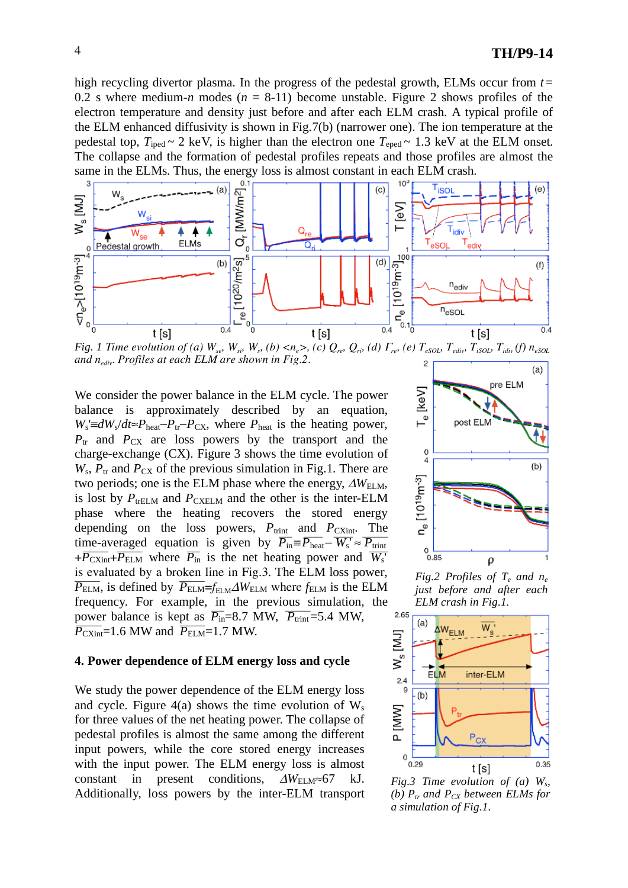high recycling divertor plasma. In the progress of the pedestal growth, ELMs occur from  $t =$ 0.2 s where medium-*n* modes ( $n = 8-11$ ) become unstable. Figure 2 shows profiles of the electron temperature and density just before and after each ELM crash. A typical profile of the ELM enhanced diffusivity is shown in Fig.7(b) (narrower one). The ion temperature at the pedestal top,  $T_{\text{iped}} \sim 2 \text{ keV}$ , is higher than the electron one  $T_{\text{eped}} \sim 1.3 \text{ keV}$  at the ELM onset. The collapse and the formation of pedestal profiles repeats and those profiles are almost the same in the ELMs. Thus, the energy loss is almost constant in each ELM crash.



*Fig. 1 Time evolution of (a)*  $W_{se}$ ,  $W_{si}$ ,  $W_{s}$ , (b)  $\lt n_e$ , (c)  $Q_{re}$ ,  $Q_{ri}$ , (d)  $\Gamma_{re}$ , (e)  $T_{eSOL}$ ,  $T_{ediv}$ ,  $T_{iSOL}$ ,  $T_{idiv}$  (f)  $n_{eSOL}$ *and nediv. Profiles at each ELM are shown in Fig.2.*

We consider the power balance in the ELM cycle. The power balance is approximately described by an equation,  $W_s \equiv dW_s/dt \approx P_{\text{heat}} - P_{\text{tr}} - P_{\text{CX}}$ , where  $P_{\text{heat}}$  is the heating power,  $P_{tr}$  and  $P_{CX}$  are loss powers by the transport and the charge-exchange (CX). Figure 3 shows the time evolution of  $W_s$ ,  $P_{tr}$  and  $P_{CX}$  of the previous simulation in Fig.1. There are two periods; one is the ELM phase where the energy,  $\Delta W_{\text{ELM}}$ , is lost by  $P_{\text{trELM}}$  and  $P_{\text{CXELM}}$  and the other is the inter-ELM phase where the heating recovers the stored energy depending on the loss powers,  $P_{\text{trint}}$  and  $P_{\text{CXint}}$ . The time-averaged equation is given by  $\overline{P_{\text{in}}} = \overline{P_{\text{heat}}} - \overline{W_{\text{s}}} \approx \overline{P_{\text{trint}}}$  $+\overline{P_{\text{CXint}} + P_{\text{ELM}}}$  where  $\overline{P_{\text{in}}}$  is the net heating power and  $\overline{W_{\text{s}}}$ is evaluated by a broken line in Fig.3. The ELM loss power,  $\overline{P_{\text{ELM}}}$ , is defined by  $\overline{P_{\text{ELM}}}$  =  $f_{\text{ELM}}\Delta W_{\text{ELM}}$  where  $f_{\text{ELM}}$  is the ELM frequency. For example, in the previous simulation, the power balance is kept as  $\overline{P_{in}}$ =8.7 MW,  $\overline{P_{trit}}$ =5.4 MW,  $\overline{P_{\text{CXint}}}=1.6$  MW and  $\overline{P_{\text{ELM}}}=1.7$  MW.

### **4. Power dependence of ELM energy loss and cycle**

We study the power dependence of the ELM energy loss and cycle. Figure 4(a) shows the time evolution of  $W_s$ for three values of the net heating power. The collapse of pedestal profiles is almost the same among the different input powers, while the core stored energy increases with the input power. The ELM energy loss is almost constant in present conditions,  $\Delta W_{\text{ELM}} \approx 67$  kJ. Additionally, loss powers by the inter-ELM transport



*Fig.2 Profiles of Te and ne just before and after each ELM crash in Fig.1.* 



*Fig.3 Time evolution of (a) Ws, (b)*  $P_{tr}$  and  $P_{CX}$  between ELMs for *a simulation of Fig.1.*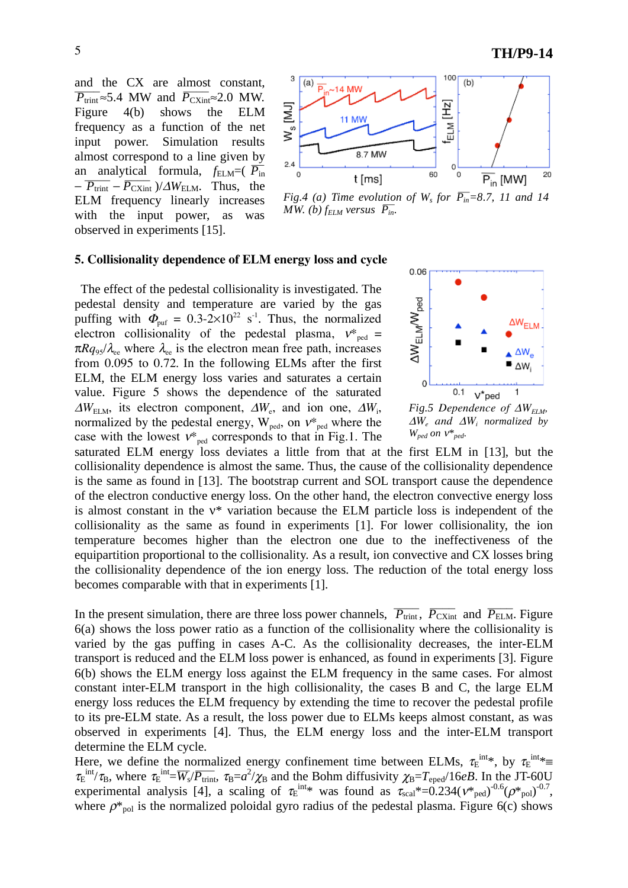and the CX are almost constant,  $\overline{P_{\text{trint}}} \approx 5.4$  MW and  $\overline{P_{\text{CXint}}} \approx 2.0$  MW. Figure 4(b) shows the ELM frequency as a function of the net input power. Simulation results almost correspond to a line given by an analytical formula,  $f_{\text{ELM}} = (\overline{P_{\text{in}}}$  $-\overline{P_{\text{trint}}} - \overline{P_{\text{CXint}}}$  )/ $\Delta W_{\text{ELM}}$ . Thus, the ELM frequency linearly increases with the input power, as was observed in experiments [15].



*Fig.4 (a) Time evolution of W<sub>s</sub> for*  $\overline{P_{in}}$ *=8.7, 11 and 14 MW. (b)*  $f_{ELM}$  versus  $\overline{P_{in}}$ .

#### **5. Collisionality dependence of ELM energy loss and cycle**

 The effect of the pedestal collisionality is investigated. The pedestal density and temperature are varied by the gas puffing with  $\Phi_{\text{put}} = 0.3{\text -}2{\times}10^{22} \text{ s}^{-1}$ . Thus, the normalized electron collisionality of the pedestal plasma,  $v_{\text{ped}}^* =$  $\pi Rq_{95}/\lambda_{ee}$  where  $\lambda_{ee}$  is the electron mean free path, increases from 0.095 to 0.72. In the following ELMs after the first ELM, the ELM energy loss varies and saturates a certain value. Figure 5 shows the dependence of the saturated  $\Delta W_{\text{ELM}}$ , its electron component,  $\Delta W_{\text{e}}$ , and ion one,  $\Delta W_{\text{i}}$ , normalized by the pedestal energy,  $W_{\text{ped}}$ , on  $v_{\text{ped}}^*$  where the case with the lowest  $v^*_{\text{ped}}$  corresponds to that in Fig.1. The



*Fig.5 Dependence of*  $\Delta W_{FLM}$ *,*  $\Delta W_e$  and  $\Delta W_i$  *normalized by*  $W_{ped}$  on  $V^*_{ped}$ .

saturated ELM energy loss deviates a little from that at the first ELM in [13], but the collisionality dependence is almost the same. Thus, the cause of the collisionality dependence is the same as found in [13]. The bootstrap current and SOL transport cause the dependence of the electron conductive energy loss. On the other hand, the electron convective energy loss is almost constant in the  $v^*$  variation because the ELM particle loss is independent of the collisionality as the same as found in experiments [1]. For lower collisionality, the ion temperature becomes higher than the electron one due to the ineffectiveness of the equipartition proportional to the collisionality. As a result, ion convective and CX losses bring the collisionality dependence of the ion energy loss. The reduction of the total energy loss becomes comparable with that in experiments [1].

In the present simulation, there are three loss power channels,  $\overline{P_{\text{trint}}}$ ,  $\overline{P_{\text{CXint}}}$  and  $\overline{P_{\text{ELM}}}$ . Figure 6(a) shows the loss power ratio as a function of the collisionality where the collisionality is varied by the gas puffing in cases A-C. As the collisionality decreases, the inter-ELM transport is reduced and the ELM loss power is enhanced, as found in experiments [3]. Figure 6(b) shows the ELM energy loss against the ELM frequency in the same cases. For almost constant inter-ELM transport in the high collisionality, the cases B and C, the large ELM energy loss reduces the ELM frequency by extending the time to recover the pedestal profile to its pre-ELM state. As a result, the loss power due to ELMs keeps almost constant, as was observed in experiments [4]. Thus, the ELM energy loss and the inter-ELM transport determine the ELM cycle.

Here, we define the normalized energy confinement time between ELMs,  $\tau_E^{\text{int},*}$ , by  $\tau_E^{\text{int},*}$  $\tau_E^{int/}\tau_B$ , where  $\tau_E^{int} = \overline{W_s/P_{t\text{rint}}}, \tau_B = a^2/\chi_B$  and the Bohm diffusivity  $\chi_B = T_{eped}/16eB$ . In the JT-60U experimental analysis [4], a scaling of  $\tau_{\rm E}^{\rm int}$  was found as  $\tau_{\rm scal}^* = 0.234(v_{\rm pred}^*)^{-0.6}(\rho_{\rm pol}^*)^{-0.7}$ , where  $\rho^*_{pol}$  is the normalized poloidal gyro radius of the pedestal plasma. Figure 6(c) shows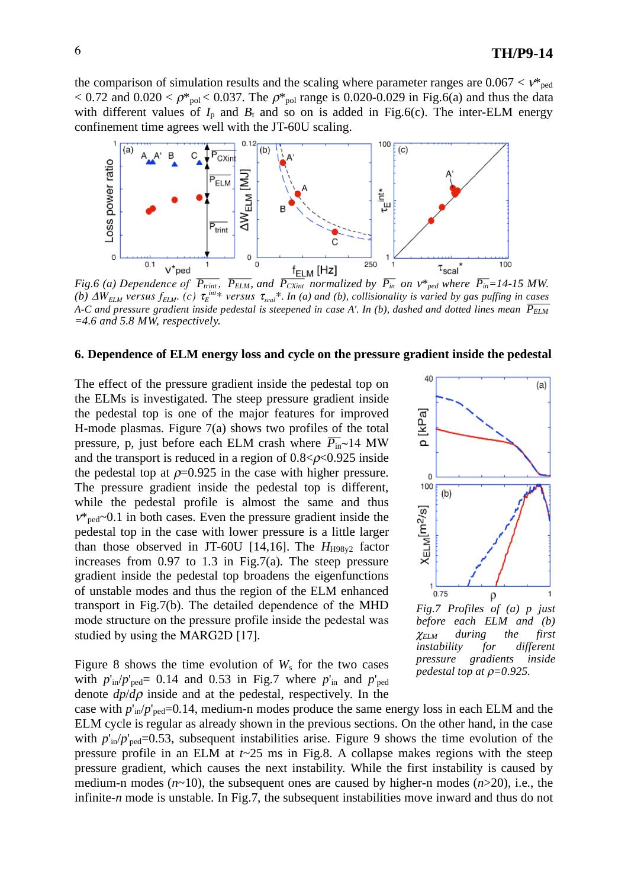the comparison of simulation results and the scaling where parameter ranges are  $0.067 < v^*_{\text{ped}}$  $< 0.72$  and  $0.020 < \rho_{\text{pol}}^* < 0.037$ . The  $\rho_{\text{pol}}^*$  range is 0.020-0.029 in Fig.6(a) and thus the data with different values of  $I_p$  and  $B_t$  and so on is added in Fig.6(c). The inter-ELM energy confinement time agrees well with the JT-60U scaling.



*Fig.6 (a) Dependence of*  $\overline{P_{trint}}$ *,*  $\overline{P_{ELM}}$ *, and*  $\overline{P_{CXint}}$  *normalized by*  $\overline{P_{in}}$  *on*  $v*_{ped}$  *where*  $\overline{P_{in}}$ *=14-15 MW. (b)*  $\Delta W_{ELM}$  versus  $f_{ELM}$ . *(c)*  $\tau_E^{int*}$  versus  $\tau_{scal}^*$ . *In (a)* and *(b), collisionality is varied by gas puffing in cases A-C and pressure gradient inside pedestal is steepened in case A'. In (b), dashed and dotted lines mean*  $\overline{P_{ELM}}$ *=4.6 and 5.8 MW, respectively.* 

## **6. Dependence of ELM energy loss and cycle on the pressure gradient inside the pedestal**

The effect of the pressure gradient inside the pedestal top on the ELMs is investigated. The steep pressure gradient inside the pedestal top is one of the major features for improved H-mode plasmas. Figure 7(a) shows two profiles of the total pressure, p, just before each ELM crash where  $\overline{P_{in}}$ ~14 MW and the transport is reduced in a region of  $0.8 < \rho < 0.925$  inside the pedestal top at  $\rho$ =0.925 in the case with higher pressure. The pressure gradient inside the pedestal top is different, while the pedestal profile is almost the same and thus  $v_{\text{red}}$ ~0.1 in both cases. Even the pressure gradient inside the pedestal top in the case with lower pressure is a little larger than those observed in JT-60U [14,16]. The  $H_{H98v2}$  factor increases from  $0.97$  to  $1.3$  in Fig.7(a). The steep pressure gradient inside the pedestal top broadens the eigenfunctions of unstable modes and thus the region of the ELM enhanced transport in Fig.7(b). The detailed dependence of the MHD mode structure on the pressure profile inside the pedestal was studied by using the MARG2D [17].

Figure 8 shows the time evolution of  $W_s$  for the two cases with  $p'_{in}/p'_{red}= 0.14$  and 0.53 in Fig.7 where  $p'_{in}$  and  $p'_{red}$ denote  $dp/d\rho$  inside and at the pedestal, respectively. In the



*Fig.7 Profiles of (a) p just before each ELM and (b)*  $\chi$ ELM during the first *instability for different pressure gradients inside pedestal top at*  $\rho=0.925$ *.* 

case with  $p'_{in}/p'_{red}=0.14$ , medium-n modes produce the same energy loss in each ELM and the ELM cycle is regular as already shown in the previous sections. On the other hand, in the case with  $p'_{in}/p'_{per}=0.53$ , subsequent instabilities arise. Figure 9 shows the time evolution of the pressure profile in an ELM at *t*~25 ms in Fig.8. A collapse makes regions with the steep pressure gradient, which causes the next instability. While the first instability is caused by medium-n modes (*n*~10), the subsequent ones are caused by higher-n modes (*n*>20), i.e., the infinite-*n* mode is unstable. In Fig.7, the subsequent instabilities move inward and thus do not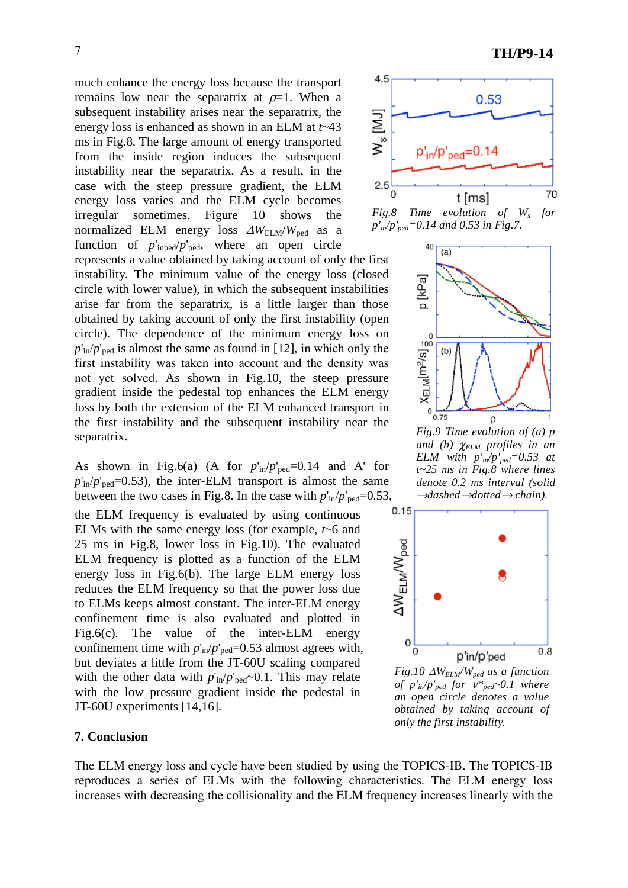much enhance the energy loss because the transport remains low near the separatrix at  $\rho=1$ . When a subsequent instability arises near the separatrix, the energy loss is enhanced as shown in an ELM at *t*~43 ms in Fig.8. The large amount of energy transported from the inside region induces the subsequent instability near the separatrix. As a result, in the case with the steep pressure gradient, the ELM energy loss varies and the ELM cycle becomes irregular sometimes. Figure 10 shows the normalized ELM energy loss  $\Delta W_{\text{ELM}}/W_{\text{ped}}$  as a function of  $p'_{\text{inped}}/p'_{\text{ped}}$ , where an open circle represents a value obtained by taking account of only the first instability. The minimum value of the energy loss (closed circle with lower value), in which the subsequent instabilities

arise far from the separatrix, is a little larger than those obtained by taking account of only the first instability (open circle). The dependence of the minimum energy loss on  $p'_{in}/p'_{red}$  is almost the same as found in [12], in which only the first instability was taken into account and the density was not yet solved. As shown in Fig.10, the steep pressure gradient inside the pedestal top enhances the ELM energy loss by both the extension of the ELM enhanced transport in the first instability and the subsequent instability near the separatrix.

As shown in Fig.6(a) (A for  $p'_{in}/p'_{per}=0.14$  and A' for  $p'_{in}/p'_{red}=0.53$ , the inter-ELM transport is almost the same between the two cases in Fig.8. In the case with  $p'_{in}/p'_{per}=0.53$ ,

the ELM frequency is evaluated by using continuous ELMs with the same energy loss (for example, *t*~6 and 25 ms in Fig.8, lower loss in Fig.10). The evaluated ELM frequency is plotted as a function of the ELM energy loss in Fig.6(b). The large ELM energy loss reduces the ELM frequency so that the power loss due to ELMs keeps almost constant. The inter-ELM energy confinement time is also evaluated and plotted in Fig.6(c). The value of the inter-ELM energy confinement time with  $p'_{in}/p'_{per}=0.53$  almost agrees with, but deviates a little from the JT-60U scaling compared with the other data with  $p'_{in}/p'_{per} \sim 0.1$ . This may relate with the low pressure gradient inside the pedestal in JT-60U experiments [14,16].

### **7. Conclusion**

The ELM energy loss and cycle have been studied by using the TOPICS-IB. The TOPICS-IB reproduces a series of ELMs with the following characteristics. The ELM energy loss increases with decreasing the collisionality and the ELM frequency increases linearly with the



*p'in/p'ped=0.14 and 0.53 in Fig.7.* 



*Fig.9 Time evolution of (a) p* and (b)  $\chi$ <sub>ELM</sub> profiles in an *ELM with p'in/p'ped=0.53 at t~25 ms in Fig.8 where lines denote 0.2 ms interval (solid*  $\rightarrow$ *dashed* $\rightarrow$ *dotted* $\rightarrow$ *chain*).



*Fig.10 WELM/Wped as a function of*  $p'_m/p'_{ped}$  *for*  $v^*_{ped}$ *~0.1 where an open circle denotes a value obtained by taking account of only the first instability.*